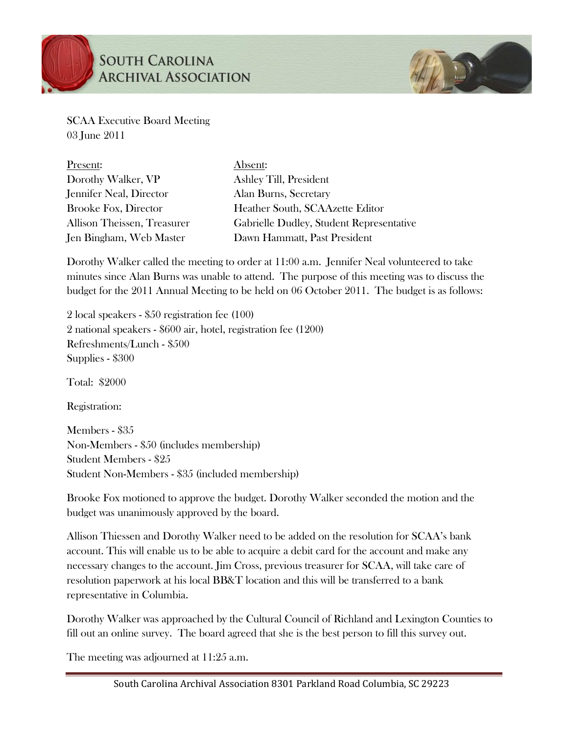

## **SOUTH CAROLINA ARCHIVAL ASSOCIATION**



SCAA Executive Board Meeting 03 June 2011

| Present:                    | Absent:                                  |
|-----------------------------|------------------------------------------|
| Dorothy Walker, VP          | Ashley Till, President                   |
| Jennifer Neal, Director     | Alan Burns, Secretary                    |
| <b>Brooke Fox, Director</b> | Heather South, SCAAzette Editor          |
| Allison Theissen, Treasurer | Gabrielle Dudley, Student Representative |
| Jen Bingham, Web Master     | Dawn Hammatt, Past President             |

Dorothy Walker called the meeting to order at 11:00 a.m. Jennifer Neal volunteered to take minutes since Alan Burns was unable to attend. The purpose of this meeting was to discuss the budget for the 2011 Annual Meeting to be held on 06 October 2011. The budget is as follows:

2 local speakers - \$50 registration fee (100) 2 national speakers - \$600 air, hotel, registration fee (1200) Refreshments/Lunch - \$500 Supplies - \$300

Total: \$2000

Registration:

Members - \$35 Non-Members - \$50 (includes membership) Student Members - \$25 Student Non-Members - \$35 (included membership)

Brooke Fox motioned to approve the budget. Dorothy Walker seconded the motion and the budget was unanimously approved by the board.

Allison Thiessen and Dorothy Walker need to be added on the resolution for SCAA's bank account. This will enable us to be able to acquire a debit card for the account and make any necessary changes to the account. Jim Cross, previous treasurer for SCAA, will take care of resolution paperwork at his local BB&T location and this will be transferred to a bank representative in Columbia.

Dorothy Walker was approached by the Cultural Council of Richland and Lexington Counties to fill out an online survey. The board agreed that she is the best person to fill this survey out.

The meeting was adjourned at 11:25 a.m.